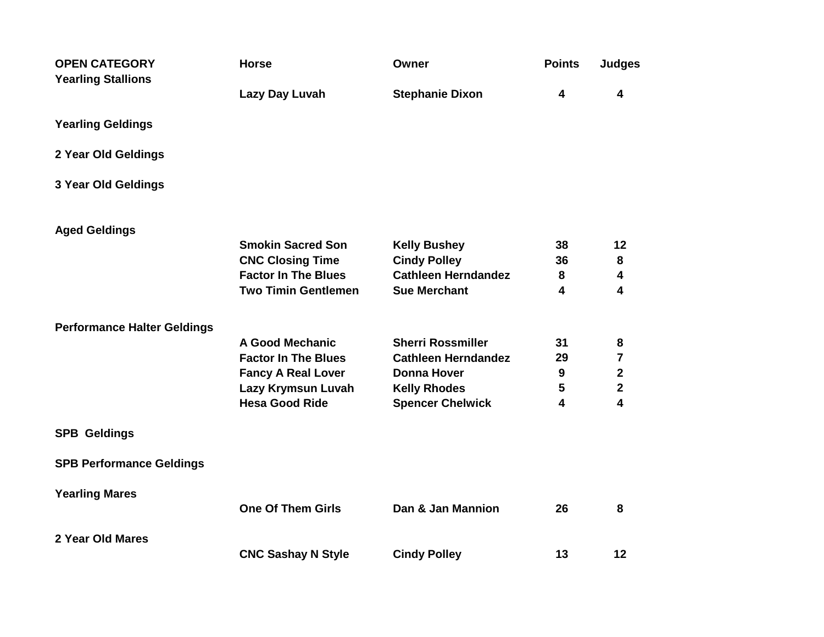| <b>OPEN CATEGORY</b><br><b>Yearling Stallions</b> | <b>Horse</b>               | Owner                      | <b>Points</b>           | <b>Judges</b>           |
|---------------------------------------------------|----------------------------|----------------------------|-------------------------|-------------------------|
|                                                   | Lazy Day Luvah             | <b>Stephanie Dixon</b>     | 4                       | 4                       |
| <b>Yearling Geldings</b>                          |                            |                            |                         |                         |
| 2 Year Old Geldings                               |                            |                            |                         |                         |
| 3 Year Old Geldings                               |                            |                            |                         |                         |
| <b>Aged Geldings</b>                              |                            |                            |                         |                         |
|                                                   | <b>Smokin Sacred Son</b>   | <b>Kelly Bushey</b>        | 38                      | 12                      |
|                                                   | <b>CNC Closing Time</b>    | <b>Cindy Polley</b>        | 36                      | 8                       |
|                                                   | <b>Factor In The Blues</b> | <b>Cathleen Herndandez</b> | 8                       | 4                       |
|                                                   | <b>Two Timin Gentlemen</b> | <b>Sue Merchant</b>        | 4                       | 4                       |
| <b>Performance Halter Geldings</b>                |                            |                            |                         |                         |
|                                                   | <b>A Good Mechanic</b>     | <b>Sherri Rossmiller</b>   | 31                      | 8                       |
|                                                   | <b>Factor In The Blues</b> | <b>Cathleen Herndandez</b> | 29                      | $\overline{\mathbf{7}}$ |
|                                                   | <b>Fancy A Real Lover</b>  | <b>Donna Hover</b>         | $\mathbf{9}$            | $\overline{\mathbf{2}}$ |
|                                                   | Lazy Krymsun Luvah         | <b>Kelly Rhodes</b>        | 5                       | $\mathbf{2}$            |
|                                                   | <b>Hesa Good Ride</b>      | <b>Spencer Chelwick</b>    | $\overline{\mathbf{4}}$ | $\overline{\mathbf{4}}$ |
| <b>SPB Geldings</b>                               |                            |                            |                         |                         |
| <b>SPB Performance Geldings</b>                   |                            |                            |                         |                         |
| <b>Yearling Mares</b>                             |                            |                            |                         |                         |
|                                                   | <b>One Of Them Girls</b>   | Dan & Jan Mannion          | 26                      | 8                       |
| 2 Year Old Mares                                  |                            |                            |                         |                         |
|                                                   | <b>CNC Sashay N Style</b>  | <b>Cindy Polley</b>        | 13                      | 12                      |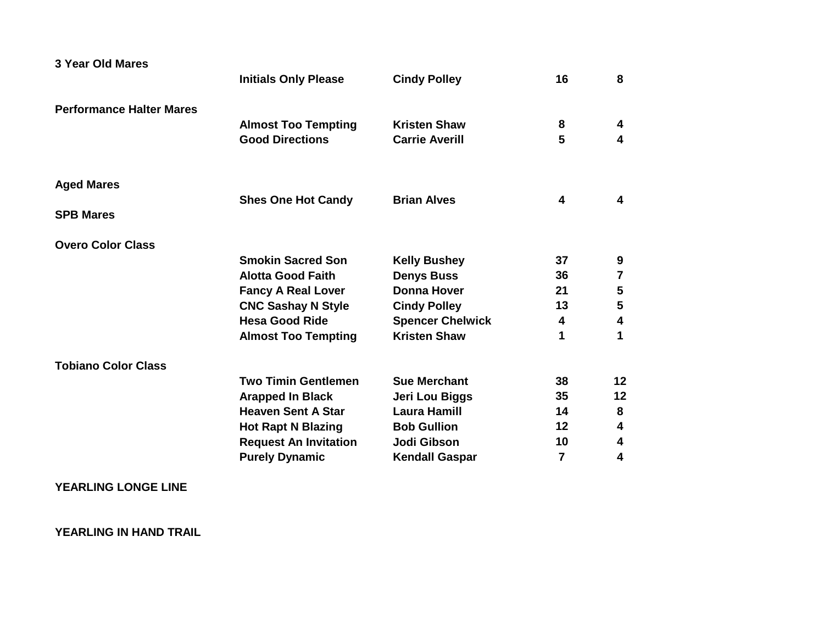| 3 Year Old Mares                | <b>Initials Only Please</b>  | <b>Cindy Polley</b>     | 16 | 8                       |
|---------------------------------|------------------------------|-------------------------|----|-------------------------|
| <b>Performance Halter Mares</b> |                              |                         |    |                         |
|                                 | <b>Almost Too Tempting</b>   | <b>Kristen Shaw</b>     | 8  | 4                       |
|                                 | <b>Good Directions</b>       | <b>Carrie Averill</b>   | 5  | $\overline{\mathbf{4}}$ |
| <b>Aged Mares</b>               |                              |                         |    |                         |
|                                 | <b>Shes One Hot Candy</b>    | <b>Brian Alves</b>      | 4  | 4                       |
| <b>SPB Mares</b>                |                              |                         |    |                         |
| <b>Overo Color Class</b>        |                              |                         |    |                         |
|                                 | <b>Smokin Sacred Son</b>     | <b>Kelly Bushey</b>     | 37 | 9                       |
|                                 | <b>Alotta Good Faith</b>     | <b>Denys Buss</b>       | 36 | 7                       |
|                                 | <b>Fancy A Real Lover</b>    | <b>Donna Hover</b>      | 21 | ${\bf 5}$               |
|                                 | <b>CNC Sashay N Style</b>    | <b>Cindy Polley</b>     | 13 | $5\phantom{1}$          |
|                                 | <b>Hesa Good Ride</b>        | <b>Spencer Chelwick</b> | 4  | $\overline{\mathbf{4}}$ |
|                                 | <b>Almost Too Tempting</b>   | <b>Kristen Shaw</b>     | 1  | 1                       |
| <b>Tobiano Color Class</b>      |                              |                         |    |                         |
|                                 | <b>Two Timin Gentlemen</b>   | <b>Sue Merchant</b>     | 38 | 12                      |
|                                 | <b>Arapped In Black</b>      | Jeri Lou Biggs          | 35 | 12                      |
|                                 | <b>Heaven Sent A Star</b>    | <b>Laura Hamill</b>     | 14 | 8                       |
|                                 | <b>Hot Rapt N Blazing</b>    | <b>Bob Gullion</b>      | 12 | $\boldsymbol{4}$        |
|                                 | <b>Request An Invitation</b> | Jodi Gibson             | 10 | 4                       |
|                                 | <b>Purely Dynamic</b>        | <b>Kendall Gaspar</b>   | 7  | 4                       |

**YEARLING LONGE LINE**

**YEARLING IN HAND TRAIL**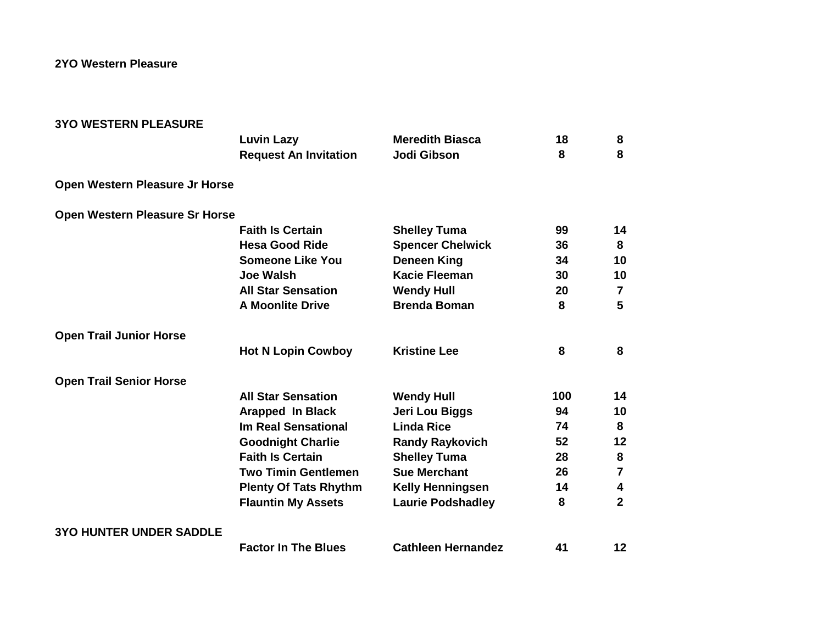**2YO Western Pleasure**

| <b>3YO WESTERN PLEASURE</b>    |                              |                           |     |                         |
|--------------------------------|------------------------------|---------------------------|-----|-------------------------|
|                                | <b>Luvin Lazy</b>            | <b>Meredith Biasca</b>    | 18  | 8                       |
|                                | <b>Request An Invitation</b> | Jodi Gibson               | 8   | 8                       |
| Open Western Pleasure Jr Horse |                              |                           |     |                         |
| Open Western Pleasure Sr Horse |                              |                           |     |                         |
|                                | <b>Faith Is Certain</b>      | <b>Shelley Tuma</b>       | 99  | 14                      |
|                                | <b>Hesa Good Ride</b>        | <b>Spencer Chelwick</b>   | 36  | 8                       |
|                                | <b>Someone Like You</b>      | <b>Deneen King</b>        | 34  | 10                      |
|                                | <b>Joe Walsh</b>             | <b>Kacie Fleeman</b>      | 30  | 10                      |
|                                | <b>All Star Sensation</b>    | <b>Wendy Hull</b>         | 20  | $\overline{\mathbf{7}}$ |
|                                | <b>A Moonlite Drive</b>      | <b>Brenda Boman</b>       | 8   | 5                       |
| <b>Open Trail Junior Horse</b> |                              |                           |     |                         |
|                                | <b>Hot N Lopin Cowboy</b>    | <b>Kristine Lee</b>       | 8   | 8                       |
| <b>Open Trail Senior Horse</b> |                              |                           |     |                         |
|                                | <b>All Star Sensation</b>    | <b>Wendy Hull</b>         | 100 | 14                      |
|                                | <b>Arapped In Black</b>      | Jeri Lou Biggs            | 94  | 10                      |
|                                | <b>Im Real Sensational</b>   | <b>Linda Rice</b>         | 74  | 8                       |
|                                | <b>Goodnight Charlie</b>     | <b>Randy Raykovich</b>    | 52  | 12                      |
|                                | <b>Faith Is Certain</b>      | <b>Shelley Tuma</b>       | 28  | 8                       |
|                                | <b>Two Timin Gentlemen</b>   | <b>Sue Merchant</b>       | 26  | $\overline{\mathbf{r}}$ |
|                                | <b>Plenty Of Tats Rhythm</b> | <b>Kelly Henningsen</b>   | 14  | 4                       |
|                                | <b>Flauntin My Assets</b>    | <b>Laurie Podshadley</b>  | 8   | $\overline{2}$          |
| <b>3YO HUNTER UNDER SADDLE</b> |                              |                           |     |                         |
|                                | <b>Factor In The Blues</b>   | <b>Cathleen Hernandez</b> | 41  | 12                      |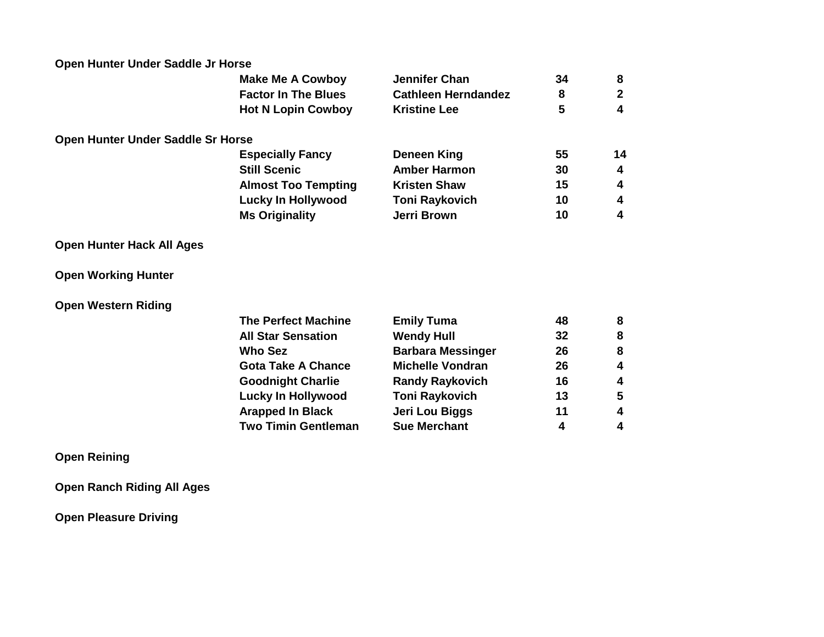| Open Hunter Under Saddle Jr Horse |                            |                            |    |                         |
|-----------------------------------|----------------------------|----------------------------|----|-------------------------|
|                                   | <b>Make Me A Cowboy</b>    | <b>Jennifer Chan</b>       | 34 | 8                       |
|                                   | <b>Factor In The Blues</b> | <b>Cathleen Herndandez</b> | 8  | $\mathbf{2}$            |
|                                   | <b>Hot N Lopin Cowboy</b>  | <b>Kristine Lee</b>        | 5  | 4                       |
| Open Hunter Under Saddle Sr Horse |                            |                            |    |                         |
|                                   | <b>Especially Fancy</b>    | <b>Deneen King</b>         | 55 | 14                      |
|                                   | <b>Still Scenic</b>        | <b>Amber Harmon</b>        | 30 | 4                       |
|                                   | <b>Almost Too Tempting</b> | <b>Kristen Shaw</b>        | 15 | 4                       |
|                                   | <b>Lucky In Hollywood</b>  | <b>Toni Raykovich</b>      | 10 | 4                       |
|                                   | <b>Ms Originality</b>      | Jerri Brown                | 10 | 4                       |
| <b>Open Hunter Hack All Ages</b>  |                            |                            |    |                         |
| <b>Open Working Hunter</b>        |                            |                            |    |                         |
| <b>Open Western Riding</b>        |                            |                            |    |                         |
|                                   | <b>The Perfect Machine</b> | <b>Emily Tuma</b>          | 48 | 8                       |
|                                   | <b>All Star Sensation</b>  | <b>Wendy Hull</b>          | 32 | 8                       |
|                                   | <b>Who Sez</b>             | <b>Barbara Messinger</b>   | 26 | 8                       |
|                                   | <b>Gota Take A Chance</b>  | <b>Michelle Vondran</b>    | 26 | $\overline{\mathbf{4}}$ |
|                                   | <b>Goodnight Charlie</b>   | <b>Randy Raykovich</b>     | 16 | 4                       |
|                                   | <b>Lucky In Hollywood</b>  | <b>Toni Raykovich</b>      | 13 | 5                       |
|                                   | <b>Arapped In Black</b>    | Jeri Lou Biggs             | 11 | 4                       |
|                                   | <b>Two Timin Gentleman</b> | <b>Sue Merchant</b>        | 4  | 4                       |
| <b>Open Reining</b>               |                            |                            |    |                         |
| <b>Open Ranch Riding All Ages</b> |                            |                            |    |                         |

**Open Pleasure Driving**